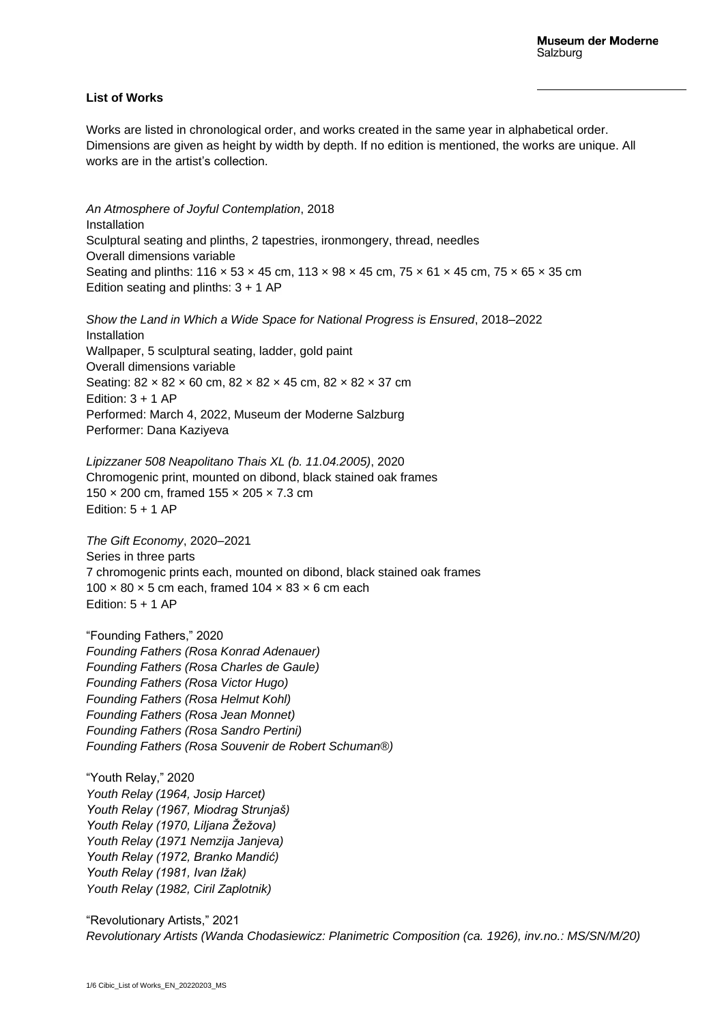## **List of Works**

Works are listed in chronological order, and works created in the same year in alphabetical order. Dimensions are given as height by width by depth. If no edition is mentioned, the works are unique. All works are in the artist's collection.

*An Atmosphere of Joyful Contemplation*, 2018 Installation Sculptural seating and plinths, 2 tapestries, ironmongery, thread, needles Overall dimensions variable Seating and plinths: 116 × 53 × 45 cm, 113 × 98 × 45 cm, 75 × 61 × 45 cm, 75 × 65 × 35 cm Edition seating and plinths:  $3 + 1$  AP

*Show the Land in Which a Wide Space for National Progress is Ensured*, 2018–2022 Installation Wallpaper, 5 sculptural seating, ladder, gold paint Overall dimensions variable Seating: 82 × 82 × 60 cm, 82 × 82 × 45 cm, 82 × 82 × 37 cm Edition:  $3 + 1$  AP Performed: March 4, 2022, Museum der Moderne Salzburg

Performer: Dana Kaziyeva

*Lipizzaner 508 Neapolitano Thais XL (b. 11.04.2005)*, 2020 Chromogenic print, mounted on dibond, black stained oak frames 150 × 200 cm, framed 155 × 205 × 7.3 cm Edition:  $5 + 1$  AP

*The Gift Economy*, 2020–2021 Series in three parts 7 chromogenic prints each, mounted on dibond, black stained oak frames  $100 \times 80 \times 5$  cm each, framed  $104 \times 83 \times 6$  cm each Edition:  $5 + 1$  AP

"Founding Fathers," 2020 *Founding Fathers (Rosa Konrad Adenauer) Founding Fathers (Rosa Charles de Gaule) Founding Fathers (Rosa Victor Hugo) Founding Fathers (Rosa Helmut Kohl) Founding Fathers (Rosa Jean Monnet) Founding Fathers (Rosa Sandro Pertini) Founding Fathers (Rosa Souvenir de Robert Schuman®)*

"Youth Relay," 2020 *Youth Relay (1964, Josip Harcet) Youth Relay (1967, Miodrag Strunjaš) Youth Relay (1970, Liljana Žežova) Youth Relay (1971 Nemzija Janjeva) Youth Relay (1972, Branko Mandić) Youth Relay (1981, Ivan Ižak) Youth Relay (1982, Ciril Zaplotnik)*

"Revolutionary Artists," 2021 *Revolutionary Artists (Wanda Chodasiewicz: Planimetric Composition (ca. 1926), inv.no.: MS/SN/M/20)*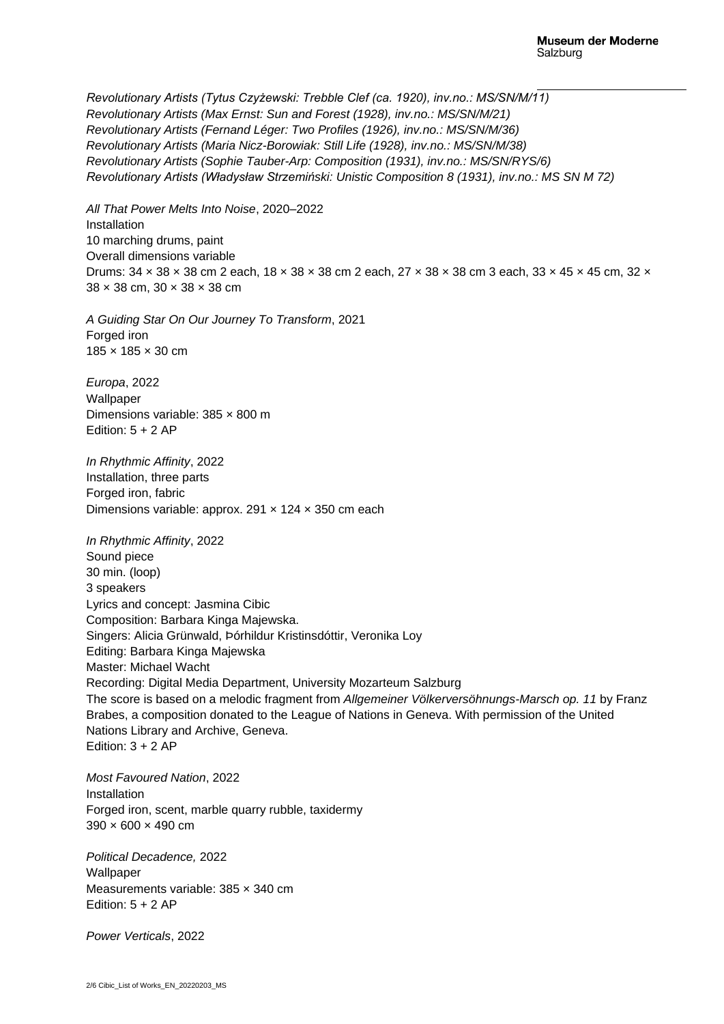*Revolutionary Artists (Tytus Czyżewski: Trebble Clef (ca. 1920), inv.no.: MS/SN/M/11) Revolutionary Artists (Max Ernst: Sun and Forest (1928), inv.no.: MS/SN/M/21) Revolutionary Artists (Fernand Léger: Two Profiles (1926), inv.no.: MS/SN/M/36) Revolutionary Artists (Maria Nicz-Borowiak: Still Life (1928), inv.no.: MS/SN/M/38) Revolutionary Artists (Sophie Tauber-Arp: Composition (1931), inv.no.: MS/SN/RYS/6) Revolutionary Artists (Władysław Strzemiński: Unistic Composition 8 (1931), inv.no.: MS SN M 72)*

*All That Power Melts Into Noise*, 2020–2022 Installation 10 marching drums, paint Overall dimensions variable Drums: 34 × 38 × 38 cm 2 each, 18 × 38 × 38 cm 2 each, 27 × 38 × 38 cm 3 each, 33 × 45 × 45 cm, 32 × 38 × 38 cm, 30 × 38 × 38 cm

*A Guiding Star On Our Journey To Transform*, 2021 Forged iron 185 × 185 × 30 cm

*Europa*, 2022 Wallpaper Dimensions variable: 385 × 800 m Edition:  $5 + 2 AP$ 

*In Rhythmic Affinity*, 2022 Installation, three parts Forged iron, fabric Dimensions variable: approx. 291  $\times$  124  $\times$  350 cm each

*In Rhythmic Affinity*, 2022 Sound piece 30 min. (loop) 3 speakers Lyrics and concept: Jasmina Cibic Composition: Barbara Kinga Majewska. Singers: Alicia Grünwald, Þórhildur Kristinsdóttir, Veronika Loy Editing: Barbara Kinga Majewska Master: Michael Wacht Recording: Digital Media Department, University Mozarteum Salzburg The score is based on a melodic fragment from *Allgemeiner Völkerversöhnungs-Marsch op. 11* by Franz Brabes, a composition donated to the League of Nations in Geneva. With permission of the United Nations Library and Archive, Geneva. Edition:  $3 + 2 AP$ 

*Most Favoured Nation*, 2022 Installation Forged iron, scent, marble quarry rubble, taxidermy 390 × 600 × 490 cm

*Political Decadence,* 2022 **Wallpaper** Measurements variable: 385 × 340 cm Edition:  $5 + 2 AP$ 

*Power Verticals*, 2022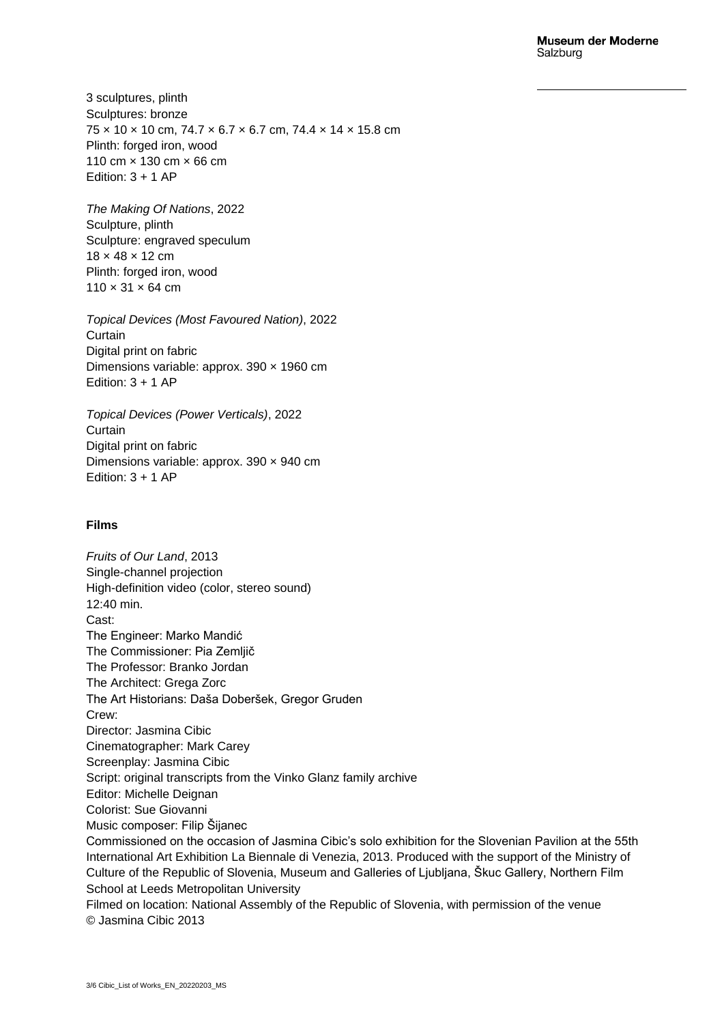## **Museum der Moderne** Salzburg

3 sculptures, plinth Sculptures: bronze 75 × 10 × 10 cm, 74.7 × 6.7 × 6.7 cm, 74.4 × 14 × 15.8 cm Plinth: forged iron, wood 110 cm × 130 cm × 66 cm Edition:  $3 + 1$  AP

*The Making Of Nations*, 2022 Sculpture, plinth Sculpture: engraved speculum 18 × 48 × 12 cm Plinth: forged iron, wood  $110 \times 31 \times 64$  cm

*Topical Devices (Most Favoured Nation)*, 2022 Curtain Digital print on fabric Dimensions variable: approx. 390 × 1960 cm Edition:  $3 + 1$  AP

*Topical Devices (Power Verticals)*, 2022 **Curtain** Digital print on fabric Dimensions variable: approx. 390 × 940 cm Edition:  $3 + 1$  AP

## **Films**

*Fruits of Our Land*, 2013 Single-channel projection High-definition video (color, stereo sound) 12:40 min. Cast: The Engineer: Marko Mandić The Commissioner: Pia Zemljič The Professor: Branko Jordan The Architect: Grega Zorc The Art Historians: Daša Doberšek, Gregor Gruden Crew: Director: Jasmina Cibic Cinematographer: Mark Carey Screenplay: Jasmina Cibic Script: original transcripts from the Vinko Glanz family archive Editor: Michelle Deignan Colorist: Sue Giovanni Music composer: Filip Šijanec Commissioned on the occasion of Jasmina Cibic's solo exhibition for the Slovenian Pavilion at the 55th International Art Exhibition La Biennale di Venezia, 2013. Produced with the support of the Ministry of Culture of the Republic of Slovenia, Museum and Galleries of Ljubljana, Škuc Gallery, Northern Film School at Leeds Metropolitan University Filmed on location: National Assembly of the Republic of Slovenia, with permission of the venue © Jasmina Cibic 2013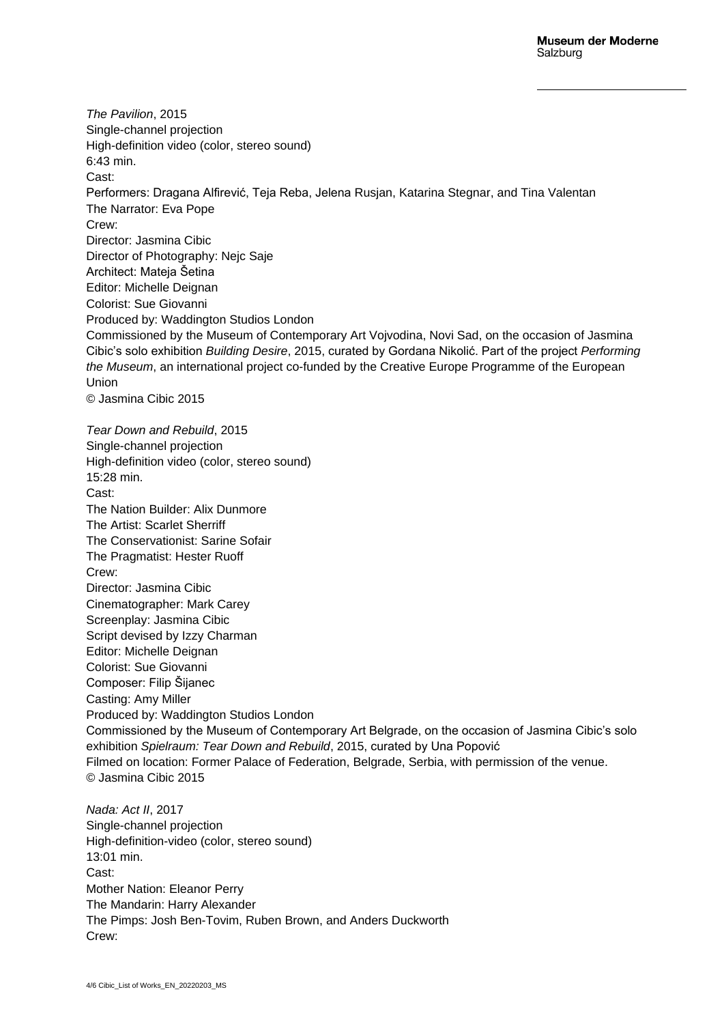*The Pavilion*, 2015 Single-channel projection High-definition video (color, stereo sound) 6:43 min. Cast: Performers: Dragana Alfirević, Teja Reba, Jelena Rusjan, Katarina Stegnar, and Tina Valentan The Narrator: Eva Pope Crew: Director: Jasmina Cibic Director of Photography: Nejc Saje Architect: Mateja Šetina Editor: Michelle Deignan Colorist: Sue Giovanni Produced by: Waddington Studios London Commissioned by the Museum of Contemporary Art Vojvodina, Novi Sad, on the occasion of Jasmina Cibic's solo exhibition *Building Desire*, 2015, curated by Gordana Nikolić. Part of the project *Performing the Museum*, an international project co-funded by the Creative Europe Programme of the European Union © Jasmina Cibic 2015 *Tear Down and Rebuild*, 2015 Single-channel projection High-definition video (color, stereo sound) 15:28 min. Cast: The Nation Builder: Alix Dunmore The Artist: Scarlet Sherriff The Conservationist: Sarine Sofair The Pragmatist: Hester Ruoff Crew: Director: Jasmina Cibic Cinematographer: Mark Carey Screenplay: Jasmina Cibic Script devised by Izzy Charman Editor: Michelle Deignan Colorist: Sue Giovanni Composer: Filip Šijanec Casting: Amy Miller Produced by: Waddington Studios London Commissioned by the Museum of Contemporary Art Belgrade, on the occasion of Jasmina Cibic's solo exhibition *Spielraum: Tear Down and Rebuild*, 2015, curated by Una Popović Filmed on location: Former Palace of Federation, Belgrade, Serbia, with permission of the venue. © Jasmina Cibic 2015

*Nada: Act II*, 2017 Single-channel projection High-definition-video (color, stereo sound) 13:01 min. Cast: Mother Nation: Eleanor Perry The Mandarin: Harry Alexander The Pimps: Josh Ben-Tovim, Ruben Brown, and Anders Duckworth Crew: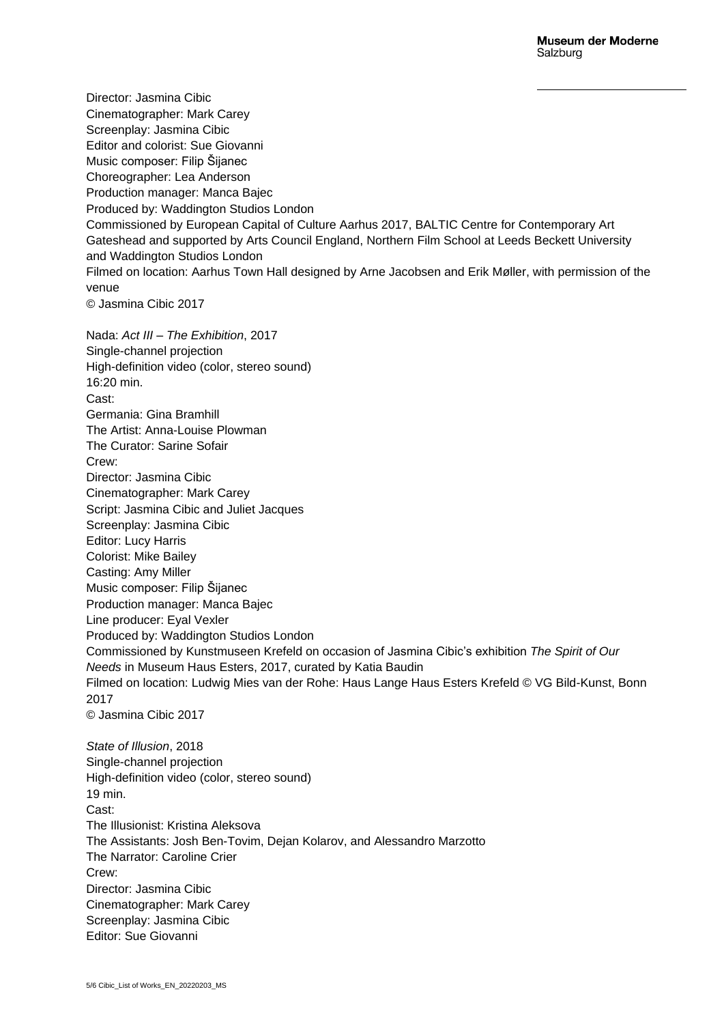Director: Jasmina Cibic Cinematographer: Mark Carey Screenplay: Jasmina Cibic Editor and colorist: Sue Giovanni Music composer: Filip Šijanec Choreographer: Lea Anderson Production manager: Manca Bajec Produced by: Waddington Studios London Commissioned by European Capital of Culture Aarhus 2017, BALTIC Centre for Contemporary Art Gateshead and supported by Arts Council England, Northern Film School at Leeds Beckett University and Waddington Studios London Filmed on location: Aarhus Town Hall designed by Arne Jacobsen and Erik Møller, with permission of the venue © Jasmina Cibic 2017 Nada: *Act III – The Exhibition*, 2017 Single-channel projection High-definition video (color, stereo sound) 16:20 min. Cast: Germania: Gina Bramhill The Artist: Anna-Louise Plowman The Curator: Sarine Sofair Crew: Director: Jasmina Cibic Cinematographer: Mark Carey Script: Jasmina Cibic and Juliet Jacques Screenplay: Jasmina Cibic Editor: Lucy Harris Colorist: Mike Bailey Casting: Amy Miller Music composer: Filip Šijanec Production manager: Manca Bajec Line producer: Eyal Vexler Produced by: Waddington Studios London Commissioned by Kunstmuseen Krefeld on occasion of Jasmina Cibic's exhibition *The Spirit of Our Needs* in Museum Haus Esters, 2017, curated by Katia Baudin Filmed on location: Ludwig Mies van der Rohe: Haus Lange Haus Esters Krefeld © VG Bild-Kunst, Bonn 2017 © Jasmina Cibic 2017 *State of Illusion*, 2018 Single-channel projection High-definition video (color, stereo sound) 19 min. Cast: The Illusionist: Kristina Aleksova The Assistants: Josh Ben-Tovim, Dejan Kolarov, and Alessandro Marzotto The Narrator: Caroline Crier Crew:

Director: Jasmina Cibic Cinematographer: Mark Carey Screenplay: Jasmina Cibic Editor: Sue Giovanni